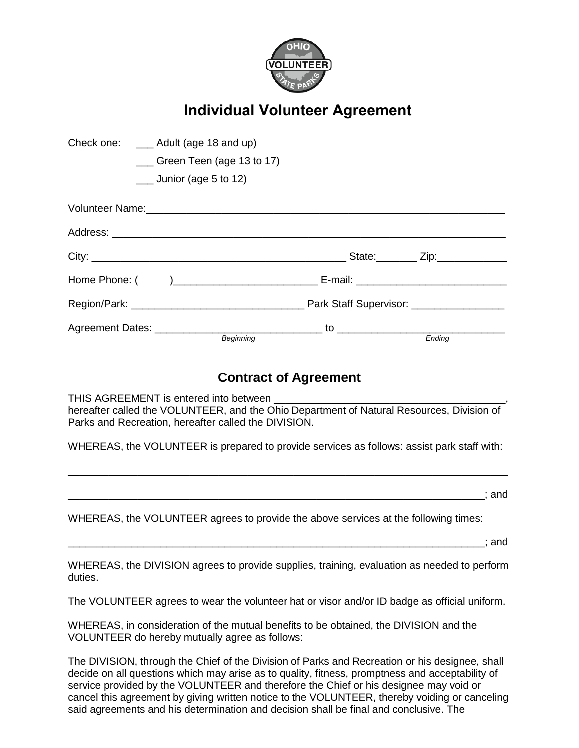

## **Individual Volunteer Agreement**

| Check one: ___ Adult (age 18 and up) |                                         |        |
|--------------------------------------|-----------------------------------------|--------|
|                                      | $\frac{1}{2}$ Green Teen (age 13 to 17) |        |
| $\frac{1}{2}$ Junior (age 5 to 12)   |                                         |        |
|                                      |                                         |        |
|                                      |                                         |        |
|                                      |                                         |        |
|                                      |                                         |        |
|                                      |                                         |        |
|                                      |                                         |        |
|                                      | <b>Beginning</b>                        | Ending |

## **Contract of Agreement**

THIS AGREEMENT is entered into between hereafter called the VOLUNTEER, and the Ohio Department of Natural Resources, Division of Parks and Recreation, hereafter called the DIVISION.

WHEREAS, the VOLUNTEER is prepared to provide services as follows: assist park staff with:

\_\_\_\_\_\_\_\_\_\_\_\_\_\_\_\_\_\_\_\_\_\_\_\_\_\_\_\_\_\_\_\_\_\_\_\_\_\_\_\_\_\_\_\_\_\_\_\_\_\_\_\_\_\_\_\_\_\_\_\_\_\_\_\_\_\_\_\_\_\_\_\_\_\_\_\_

\_\_\_\_\_\_\_\_\_\_\_\_\_\_\_\_\_\_\_\_\_\_\_\_\_\_\_\_\_\_\_\_\_\_\_\_\_\_\_\_\_\_\_\_\_\_\_\_\_\_\_\_\_\_\_\_\_\_\_\_\_\_\_\_\_\_\_\_\_\_\_\_; and

WHEREAS, the VOLUNTEER agrees to provide the above services at the following times:

\_\_\_\_\_\_\_\_\_\_\_\_\_\_\_\_\_\_\_\_\_\_\_\_\_\_\_\_\_\_\_\_\_\_\_\_\_\_\_\_\_\_\_\_\_\_\_\_\_\_\_\_\_\_\_\_\_\_\_\_\_\_\_\_\_\_\_\_\_\_\_\_; and

WHEREAS, the DIVISION agrees to provide supplies, training, evaluation as needed to perform duties.

The VOLUNTEER agrees to wear the volunteer hat or visor and/or ID badge as official uniform.

WHEREAS, in consideration of the mutual benefits to be obtained, the DIVISION and the VOLUNTEER do hereby mutually agree as follows:

The DIVISION, through the Chief of the Division of Parks and Recreation or his designee, shall decide on all questions which may arise as to quality, fitness, promptness and acceptability of service provided by the VOLUNTEER and therefore the Chief or his designee may void or cancel this agreement by giving written notice to the VOLUNTEER, thereby voiding or canceling said agreements and his determination and decision shall be final and conclusive. The